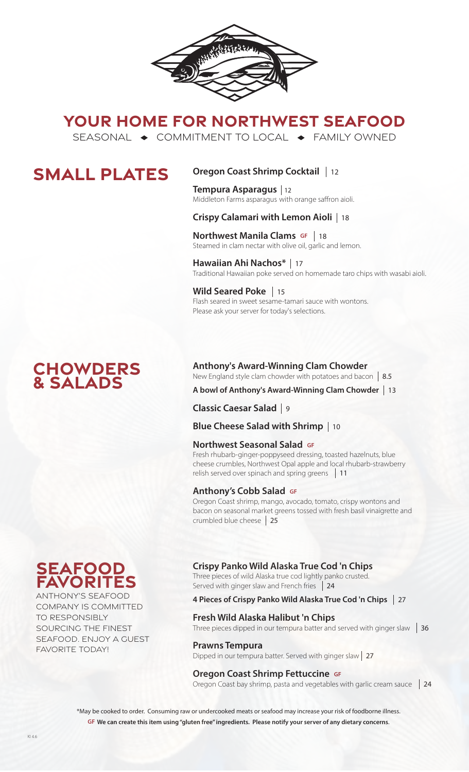

**YOUR HOME FOR NORTHWEST SEAFOOD**

SEASONAL  $\rightarrow$  COMMITMENT TO LOCAL  $\rightarrow$  FAMILY OWNED

## **SMALL PLATES**

## **Oregon Coast Shrimp Cocktail**  12

**Tempura Asparagus**  12 Middleton Farms asparagus with orange saffron aioli.

## **Crispy Calamari with Lemon Aioli**  18

**Northwest Manila Clams GF** | 18 **NOT LITWEST MATTIME CRAITS SET 118**<br>Steamed in clam nectar with olive oil, garlic and lemon.

**Hawaiian Ahi Nachos\***  17 Traditional Hawaiian poke served on homemade taro chips with wasabi aioli.

**Wild Seared Poke**  15 Flash seared in sweet sesame-tamari sauce with wontons. Please ask your server for today's selections.

## **Chowders & Salads**

### **Anthony's Award-Winning Clam Chowder**

New England style clam chowder with potatoes and bacon 8.5

**A bowl of Anthony's Award-Winning Clam Chowder**  13

**Classic Caesar Salad**  9

**Blue Cheese Salad with Shrimp**  10

### **Northwest Seasonal Salad GF**

Fresh rhubarb-ginger-poppyseed dressing, toasted hazelnuts, blue cheese crumbles, Northwest Opal apple and local rhubarb-strawberry relish served over spinach and spring greens 11

### **Anthony's Cobb Salad GF**

Oregon Coast shrimp, mango, avocado, tomato, crispy wontons and bacon on seasonal market greens tossed with fresh basil vinaigrette and crumbled blue cheese 25

### **Crispy Panko Wild Alaska True Cod 'n Chips**

Three pieces of wild Alaska true cod lightly panko crusted. Served with ginger slaw and French fries 24

### **4 Pieces of Crispy Panko Wild Alaska True Cod 'n Chips**  27

### **Fresh Wild Alaska Halibut 'n Chips**

Three pieces dipped in our tempura batter and served with ginger slaw  $\parallel$  36

### **Prawns Tempura**

Dipped in our tempura batter. Served with ginger slaw 27

### **Oregon Coast Shrimp Fettuccine GF**

Oregon Coast bay shrimp, pasta and vegetables with garlic cream sauce 124

\*May be cooked to order. Consuming raw or undercooked meats or seafood may increase your risk of foodborne illness. **GF We can create this item using "gluten free" ingredients. Please notify your server of any dietary concerns**.

# **seafood favorites**

ANTHONY'S SEAFOOD COMPANY IS COMMITTED TO RESPONSIBLY SOURCING THE FINEST SEAFOOD. ENJOY A GUEST FAVORITE TODAY!